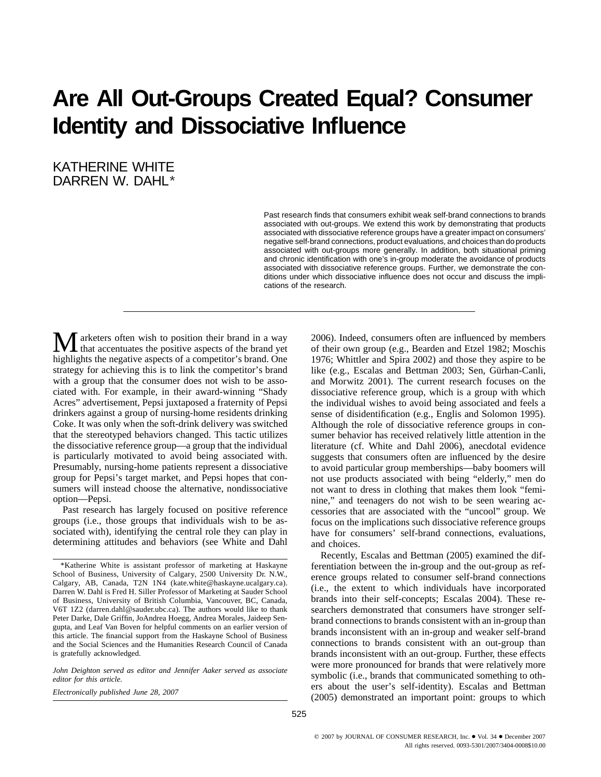# **Are All Out-Groups Created Equal? Consumer Identity and Dissociative Influence**

KATHERINE WHITE DARREN W. DAHL\*

> Past research finds that consumers exhibit weak self-brand connections to brands associated with out-groups. We extend this work by demonstrating that products associated with dissociative reference groups have a greater impact on consumers' negative self-brand connections, product evaluations, and choices than do products associated with out-groups more generally. In addition, both situational priming and chronic identification with one's in-group moderate the avoidance of products associated with dissociative reference groups. Further, we demonstrate the conditions under which dissociative influence does not occur and discuss the implications of the research.

**M** arketers often wish to position their brand in a way highlights the negative aspects of a competitor's brand. One strategy for achieving this is to link the competitor's brand with a group that the consumer does not wish to be associated with. For example, in their award-winning "Shady Acres" advertisement, Pepsi juxtaposed a fraternity of Pepsi drinkers against a group of nursing-home residents drinking Coke. It was only when the soft-drink delivery was switched that the stereotyped behaviors changed. This tactic utilizes the dissociative reference group—a group that the individual is particularly motivated to avoid being associated with. Presumably, nursing-home patients represent a dissociative group for Pepsi's target market, and Pepsi hopes that consumers will instead choose the alternative, nondissociative option—Pepsi.

Past research has largely focused on positive reference groups (i.e., those groups that individuals wish to be associated with), identifying the central role they can play in determining attitudes and behaviors (see White and Dahl

*John Deighton served as editor and Jennifer Aaker served as associate editor for this article.*

*Electronically published June 28, 2007*

2006). Indeed, consumers often are influenced by members of their own group (e.g., Bearden and Etzel 1982; Moschis 1976; Whittler and Spira 2002) and those they aspire to be like (e.g., Escalas and Bettman 2003; Sen, Gürhan-Canli, and Morwitz 2001). The current research focuses on the dissociative reference group, which is a group with which the individual wishes to avoid being associated and feels a sense of disidentification (e.g., Englis and Solomon 1995). Although the role of dissociative reference groups in consumer behavior has received relatively little attention in the literature (cf. White and Dahl 2006), anecdotal evidence suggests that consumers often are influenced by the desire to avoid particular group memberships—baby boomers will not use products associated with being "elderly," men do not want to dress in clothing that makes them look "feminine," and teenagers do not wish to be seen wearing accessories that are associated with the "uncool" group. We focus on the implications such dissociative reference groups have for consumers' self-brand connections, evaluations, and choices.

Recently, Escalas and Bettman (2005) examined the differentiation between the in-group and the out-group as reference groups related to consumer self-brand connections (i.e., the extent to which individuals have incorporated brands into their self-concepts; Escalas 2004). These researchers demonstrated that consumers have stronger selfbrand connections to brands consistent with an in-group than brands inconsistent with an in-group and weaker self-brand connections to brands consistent with an out-group than brands inconsistent with an out-group. Further, these effects were more pronounced for brands that were relatively more symbolic (i.e., brands that communicated something to others about the user's self-identity). Escalas and Bettman (2005) demonstrated an important point: groups to which

<sup>\*</sup>Katherine White is assistant professor of marketing at Haskayne School of Business, University of Calgary, 2500 University Dr. N.W., Calgary, AB, Canada, T2N 1N4 (kate.white@haskayne.ucalgary.ca). Darren W. Dahl is Fred H. Siller Professor of Marketing at Sauder School of Business, University of British Columbia, Vancouver, BC, Canada, V6T 1Z2 (darren.dahl@sauder.ubc.ca). The authors would like to thank Peter Darke, Dale Griffin, JoAndrea Hoegg, Andrea Morales, Jaideep Sengupta, and Leaf Van Boven for helpful comments on an earlier version of this article. The financial support from the Haskayne School of Business and the Social Sciences and the Humanities Research Council of Canada is gratefully acknowledged.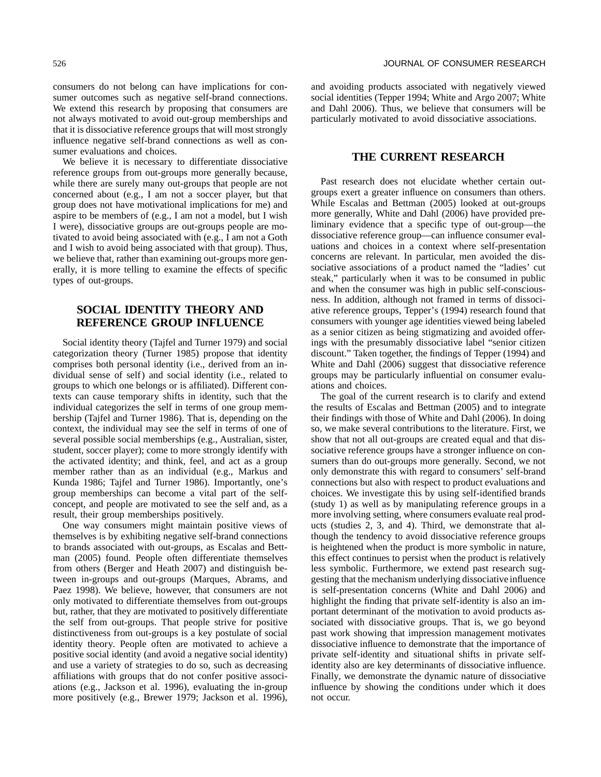consumers do not belong can have implications for consumer outcomes such as negative self-brand connections. We extend this research by proposing that consumers are not always motivated to avoid out-group memberships and that it is dissociative reference groups that will most strongly influence negative self-brand connections as well as consumer evaluations and choices.

We believe it is necessary to differentiate dissociative reference groups from out-groups more generally because, while there are surely many out-groups that people are not concerned about (e.g., I am not a soccer player, but that group does not have motivational implications for me) and aspire to be members of (e.g., I am not a model, but I wish I were), dissociative groups are out-groups people are motivated to avoid being associated with (e.g., I am not a Goth and I wish to avoid being associated with that group). Thus, we believe that, rather than examining out-groups more generally, it is more telling to examine the effects of specific types of out-groups.

# **SOCIAL IDENTITY THEORY AND REFERENCE GROUP INFLUENCE**

Social identity theory (Tajfel and Turner 1979) and social categorization theory (Turner 1985) propose that identity comprises both personal identity (i.e., derived from an individual sense of self) and social identity (i.e., related to groups to which one belongs or is affiliated). Different contexts can cause temporary shifts in identity, such that the individual categorizes the self in terms of one group membership (Tajfel and Turner 1986). That is, depending on the context, the individual may see the self in terms of one of several possible social memberships (e.g., Australian, sister, student, soccer player); come to more strongly identify with the activated identity; and think, feel, and act as a group member rather than as an individual (e.g., Markus and Kunda 1986; Tajfel and Turner 1986). Importantly, one's group memberships can become a vital part of the selfconcept, and people are motivated to see the self and, as a result, their group memberships positively.

One way consumers might maintain positive views of themselves is by exhibiting negative self-brand connections to brands associated with out-groups, as Escalas and Bettman (2005) found. People often differentiate themselves from others (Berger and Heath 2007) and distinguish between in-groups and out-groups (Marques, Abrams, and Paez 1998). We believe, however, that consumers are not only motivated to differentiate themselves from out-groups but, rather, that they are motivated to positively differentiate the self from out-groups. That people strive for positive distinctiveness from out-groups is a key postulate of social identity theory. People often are motivated to achieve a positive social identity (and avoid a negative social identity) and use a variety of strategies to do so, such as decreasing affiliations with groups that do not confer positive associations (e.g., Jackson et al. 1996), evaluating the in-group more positively (e.g., Brewer 1979; Jackson et al. 1996), and avoiding products associated with negatively viewed social identities (Tepper 1994; White and Argo 2007; White and Dahl 2006). Thus, we believe that consumers will be particularly motivated to avoid dissociative associations.

# **THE CURRENT RESEARCH**

Past research does not elucidate whether certain outgroups exert a greater influence on consumers than others. While Escalas and Bettman (2005) looked at out-groups more generally, White and Dahl (2006) have provided preliminary evidence that a specific type of out-group—the dissociative reference group—can influence consumer evaluations and choices in a context where self-presentation concerns are relevant. In particular, men avoided the dissociative associations of a product named the "ladies' cut steak," particularly when it was to be consumed in public and when the consumer was high in public self-consciousness. In addition, although not framed in terms of dissociative reference groups, Tepper's (1994) research found that consumers with younger age identities viewed being labeled as a senior citizen as being stigmatizing and avoided offerings with the presumably dissociative label "senior citizen discount." Taken together, the findings of Tepper (1994) and White and Dahl (2006) suggest that dissociative reference groups may be particularly influential on consumer evaluations and choices.

The goal of the current research is to clarify and extend the results of Escalas and Bettman (2005) and to integrate their findings with those of White and Dahl (2006). In doing so, we make several contributions to the literature. First, we show that not all out-groups are created equal and that dissociative reference groups have a stronger influence on consumers than do out-groups more generally. Second, we not only demonstrate this with regard to consumers' self-brand connections but also with respect to product evaluations and choices. We investigate this by using self-identified brands (study 1) as well as by manipulating reference groups in a more involving setting, where consumers evaluate real products (studies 2, 3, and 4). Third, we demonstrate that although the tendency to avoid dissociative reference groups is heightened when the product is more symbolic in nature, this effect continues to persist when the product is relatively less symbolic. Furthermore, we extend past research suggesting that the mechanism underlying dissociative influence is self-presentation concerns (White and Dahl 2006) and highlight the finding that private self-identity is also an important determinant of the motivation to avoid products associated with dissociative groups. That is, we go beyond past work showing that impression management motivates dissociative influence to demonstrate that the importance of private self-identity and situational shifts in private selfidentity also are key determinants of dissociative influence. Finally, we demonstrate the dynamic nature of dissociative influence by showing the conditions under which it does not occur.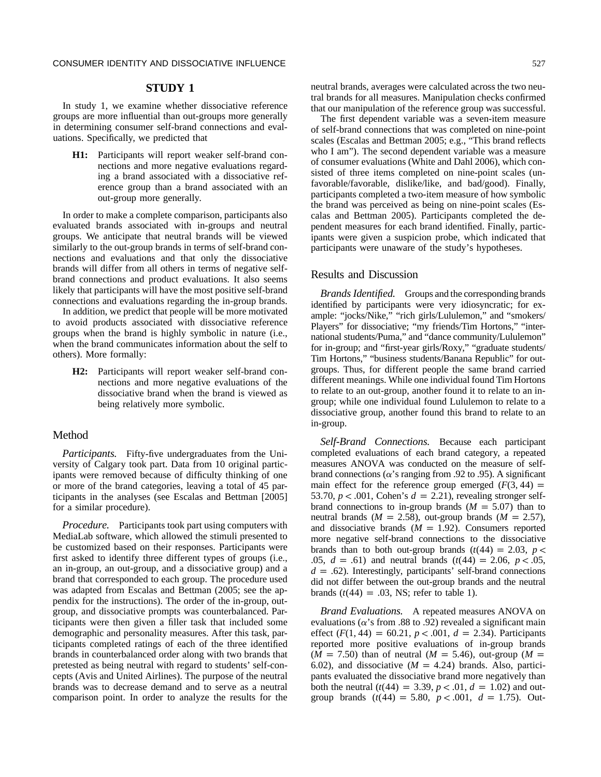## **STUDY 1**

In study 1, we examine whether dissociative reference groups are more influential than out-groups more generally in determining consumer self-brand connections and evaluations. Specifically, we predicted that

**H1:** Participants will report weaker self-brand connections and more negative evaluations regarding a brand associated with a dissociative reference group than a brand associated with an out-group more generally.

In order to make a complete comparison, participants also evaluated brands associated with in-groups and neutral groups. We anticipate that neutral brands will be viewed similarly to the out-group brands in terms of self-brand connections and evaluations and that only the dissociative brands will differ from all others in terms of negative selfbrand connections and product evaluations. It also seems likely that participants will have the most positive self-brand connections and evaluations regarding the in-group brands.

In addition, we predict that people will be more motivated to avoid products associated with dissociative reference groups when the brand is highly symbolic in nature (i.e., when the brand communicates information about the self to others). More formally:

**H2:** Participants will report weaker self-brand connections and more negative evaluations of the dissociative brand when the brand is viewed as being relatively more symbolic.

## Method

*Participants.* Fifty-five undergraduates from the University of Calgary took part. Data from 10 original participants were removed because of difficulty thinking of one or more of the brand categories, leaving a total of 45 participants in the analyses (see Escalas and Bettman [2005] for a similar procedure).

*Procedure.* Participants took part using computers with MediaLab software, which allowed the stimuli presented to be customized based on their responses. Participants were first asked to identify three different types of groups (i.e., an in-group, an out-group, and a dissociative group) and a brand that corresponded to each group. The procedure used was adapted from Escalas and Bettman (2005; see the appendix for the instructions). The order of the in-group, outgroup, and dissociative prompts was counterbalanced. Participants were then given a filler task that included some demographic and personality measures. After this task, participants completed ratings of each of the three identified brands in counterbalanced order along with two brands that pretested as being neutral with regard to students' self-concepts (Avis and United Airlines). The purpose of the neutral brands was to decrease demand and to serve as a neutral comparison point. In order to analyze the results for the neutral brands, averages were calculated across the two neutral brands for all measures. Manipulation checks confirmed that our manipulation of the reference group was successful.

The first dependent variable was a seven-item measure of self-brand connections that was completed on nine-point scales (Escalas and Bettman 2005; e.g., "This brand reflects who I am"). The second dependent variable was a measure of consumer evaluations (White and Dahl 2006), which consisted of three items completed on nine-point scales (unfavorable/favorable, dislike/like, and bad/good). Finally, participants completed a two-item measure of how symbolic the brand was perceived as being on nine-point scales (Escalas and Bettman 2005). Participants completed the dependent measures for each brand identified. Finally, participants were given a suspicion probe, which indicated that participants were unaware of the study's hypotheses.

## Results and Discussion

*Brands Identified.* Groups and the corresponding brands identified by participants were very idiosyncratic; for example: "jocks/Nike," "rich girls/Lululemon," and "smokers/ Players" for dissociative; "my friends/Tim Hortons," "international students/Puma," and "dance community/Lululemon" for in-group; and "first-year girls/Roxy," "graduate students/ Tim Hortons," "business students/Banana Republic" for outgroups. Thus, for different people the same brand carried different meanings. While one individual found Tim Hortons to relate to an out-group, another found it to relate to an ingroup; while one individual found Lululemon to relate to a dissociative group, another found this brand to relate to an in-group.

*Self-Brand Connections.* Because each participant completed evaluations of each brand category, a repeated measures ANOVA was conducted on the measure of selfbrand connections ( $\alpha$ 's ranging from .92 to .95). A significant main effect for the reference group emerged  $(F(3, 44) =$ 53.70,  $p < .001$ , Cohen's  $d = 2.21$ , revealing stronger selfbrand connections to in-group brands ( $M = 5.07$ ) than to neutral brands ( $M = 2.58$ ), out-group brands ( $M = 2.57$ ), and dissociative brands  $(M = 1.92)$ . Consumers reported more negative self-brand connections to the dissociative brands than to both out-group brands  $(t(44) = 2.03, p <$ .05,  $d = .61$  and neutral brands  $(t(44) = 2.06, p < .05,$  $d = .62$ ). Interestingly, participants' self-brand connections did not differ between the out-group brands and the neutral brands  $(t(44) = .03$ , NS; refer to table 1).

*Brand Evaluations.* A repeated measures ANOVA on evaluations ( $\alpha$ 's from .88 to .92) revealed a significant main effect  $(F(1, 44) = 60.21, p < .001, d = 2.34)$ . Participants reported more positive evaluations of in-group brands  $(M = 7.50)$  than of neutral  $(M = 5.46)$ , out-group  $(M = 7.50)$ 6.02), and dissociative  $(M = 4.24)$  brands. Also, participants evaluated the dissociative brand more negatively than both the neutral  $(t(44) = 3.39, p < .01, d = 1.02)$  and outgroup brands  $(t(44) = 5.80, p < .001, d = 1.75)$ . Out-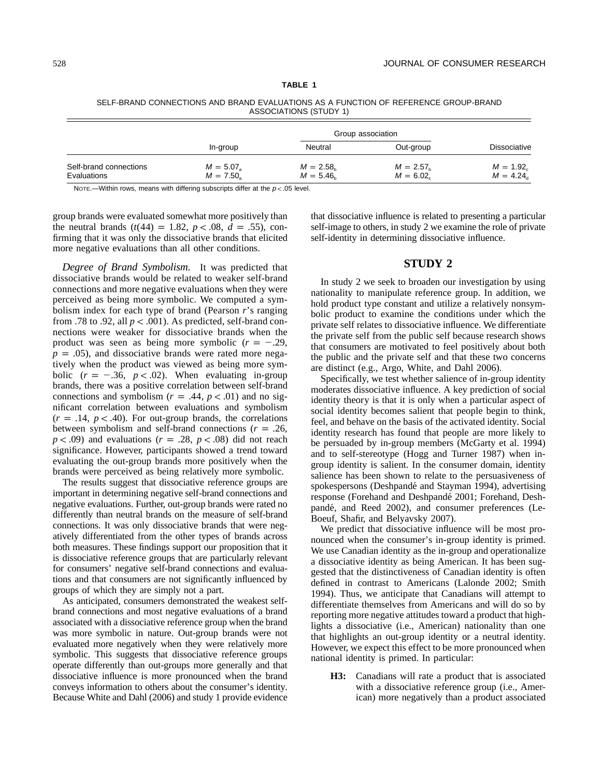SELF-BRAND CONNECTIONS AND BRAND EVALUATIONS AS A FUNCTION OF REFERENCE GROUP-BRAND ASSOCIATIONS (STUDY 1)

|                        | In-group           | Group association |              |                     |
|------------------------|--------------------|-------------------|--------------|---------------------|
|                        |                    | Neutral           | Out-group    | <b>Dissociative</b> |
| Self-brand connections | $M = 5.07_{\circ}$ | $M = 2.58_h$      | $M = 2.57_h$ | $M = 1.92_c$        |
| Evaluations            | $M = 7.50$         | $M = 5.46$        | $M = 6.02$   | $M = 4.24_{\rm d}$  |

NOTE.—Within rows, means with differing subscripts differ at the  $p < .05$  level.

group brands were evaluated somewhat more positively than the neutral brands  $(t(44) = 1.82, p < .08, d = .55)$ , confirming that it was only the dissociative brands that elicited more negative evaluations than all other conditions.

*Degree of Brand Symbolism.* It was predicted that dissociative brands would be related to weaker self-brand connections and more negative evaluations when they were perceived as being more symbolic. We computed a symbolism index for each type of brand (Pearson *r*'s ranging from .78 to .92, all  $p < .001$ ). As predicted, self-brand connections were weaker for dissociative brands when the product was seen as being more symbolic  $(r = -.29)$ ,  $p = .05$ ), and dissociative brands were rated more negatively when the product was viewed as being more symbolic  $(r = -.36, p < .02)$ . When evaluating in-group brands, there was a positive correlation between self-brand connections and symbolism ( $r = .44$ ,  $p < .01$ ) and no significant correlation between evaluations and symbolism  $(r = .14, p < .40)$ . For out-group brands, the correlations between symbolism and self-brand connections  $(r = .26, )$  $p < .09$  and evaluations ( $r = .28$ ,  $p < .08$ ) did not reach significance. However, participants showed a trend toward evaluating the out-group brands more positively when the brands were perceived as being relatively more symbolic.

The results suggest that dissociative reference groups are important in determining negative self-brand connections and negative evaluations. Further, out-group brands were rated no differently than neutral brands on the measure of self-brand connections. It was only dissociative brands that were negatively differentiated from the other types of brands across both measures. These findings support our proposition that it is dissociative reference groups that are particularly relevant for consumers' negative self-brand connections and evaluations and that consumers are not significantly influenced by groups of which they are simply not a part.

As anticipated, consumers demonstrated the weakest selfbrand connections and most negative evaluations of a brand associated with a dissociative reference group when the brand was more symbolic in nature. Out-group brands were not evaluated more negatively when they were relatively more symbolic. This suggests that dissociative reference groups operate differently than out-groups more generally and that dissociative influence is more pronounced when the brand conveys information to others about the consumer's identity. Because White and Dahl (2006) and study 1 provide evidence that dissociative influence is related to presenting a particular self-image to others, in study 2 we examine the role of private self-identity in determining dissociative influence.

# **STUDY 2**

In study 2 we seek to broaden our investigation by using nationality to manipulate reference group. In addition, we hold product type constant and utilize a relatively nonsymbolic product to examine the conditions under which the private self relates to dissociative influence. We differentiate the private self from the public self because research shows that consumers are motivated to feel positively about both the public and the private self and that these two concerns are distinct (e.g., Argo, White, and Dahl 2006).

Specifically, we test whether salience of in-group identity moderates dissociative influence. A key prediction of social identity theory is that it is only when a particular aspect of social identity becomes salient that people begin to think, feel, and behave on the basis of the activated identity. Social identity research has found that people are more likely to be persuaded by in-group members (McGarty et al. 1994) and to self-stereotype (Hogg and Turner 1987) when ingroup identity is salient. In the consumer domain, identity salience has been shown to relate to the persuasiveness of spokespersons (Deshpandé and Stayman 1994), advertising response (Forehand and Deshpande´ 2001; Forehand, Deshpandé, and Reed 2002), and consumer preferences (Le-Boeuf, Shafir, and Belyavsky 2007).

We predict that dissociative influence will be most pronounced when the consumer's in-group identity is primed. We use Canadian identity as the in-group and operationalize a dissociative identity as being American. It has been suggested that the distinctiveness of Canadian identity is often defined in contrast to Americans (Lalonde 2002; Smith 1994). Thus, we anticipate that Canadians will attempt to differentiate themselves from Americans and will do so by reporting more negative attitudes toward a product that highlights a dissociative (i.e., American) nationality than one that highlights an out-group identity or a neutral identity. However, we expect this effect to be more pronounced when national identity is primed. In particular:

**H3:** Canadians will rate a product that is associated with a dissociative reference group (i.e., American) more negatively than a product associated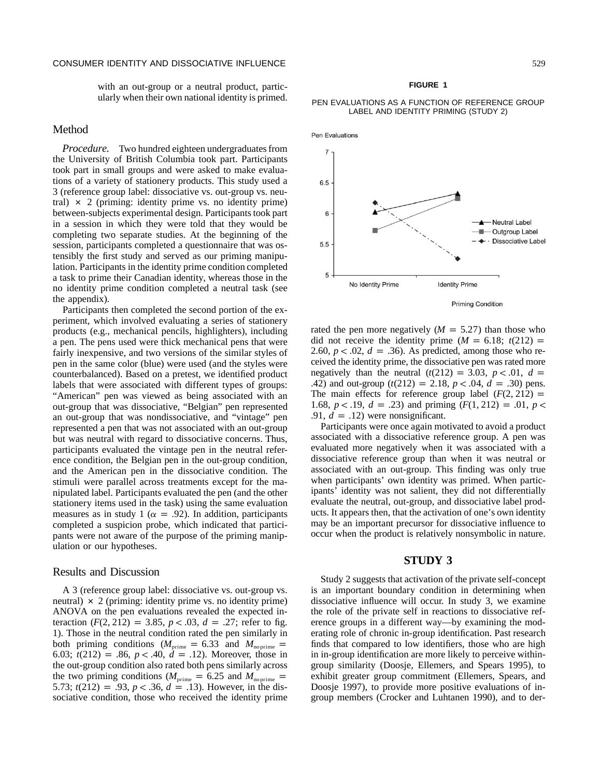with an out-group or a neutral product, particularly when their own national identity is primed.

## Method

*Procedure.* Two hundred eighteen undergraduates from the University of British Columbia took part. Participants took part in small groups and were asked to make evaluations of a variety of stationery products. This study used a 3 (reference group label: dissociative vs. out-group vs. neutral)  $\times$  2 (priming: identity prime vs. no identity prime) between-subjects experimental design. Participants took part in a session in which they were told that they would be completing two separate studies. At the beginning of the session, participants completed a questionnaire that was ostensibly the first study and served as our priming manipulation. Participants in the identity prime condition completed a task to prime their Canadian identity, whereas those in the no identity prime condition completed a neutral task (see the appendix).

Participants then completed the second portion of the experiment, which involved evaluating a series of stationery products (e.g., mechanical pencils, highlighters), including a pen. The pens used were thick mechanical pens that were fairly inexpensive, and two versions of the similar styles of pen in the same color (blue) were used (and the styles were counterbalanced). Based on a pretest, we identified product labels that were associated with different types of groups: "American" pen was viewed as being associated with an out-group that was dissociative, "Belgian" pen represented an out-group that was nondissociative, and "vintage" pen represented a pen that was not associated with an out-group but was neutral with regard to dissociative concerns. Thus, participants evaluated the vintage pen in the neutral reference condition, the Belgian pen in the out-group condition, and the American pen in the dissociative condition. The stimuli were parallel across treatments except for the manipulated label. Participants evaluated the pen (and the other stationery items used in the task) using the same evaluation measures as in study 1 ( $\alpha = .92$ ). In addition, participants completed a suspicion probe, which indicated that participants were not aware of the purpose of the priming manipulation or our hypotheses.

## Results and Discussion

A 3 (reference group label: dissociative vs. out-group vs. neutral)  $\times$  2 (priming: identity prime vs. no identity prime) ANOVA on the pen evaluations revealed the expected interaction  $(F(2, 212) = 3.85, p < .03, d = .27$ ; refer to fig. 1). Those in the neutral condition rated the pen similarly in both priming conditions ( $M_{\text{prime}} = 6.33$  and  $M_{\text{noprime}} =$ 6.03;  $t(212) = .86$ ,  $p < .40$ ,  $d = .12$ ). Moreover, those in the out-group condition also rated both pens similarly across the two priming conditions ( $M_{\text{prime}} = 6.25$  and  $M_{\text{noprime}} =$ 5.73;  $t(212) = .93$ ,  $p < .36$ ,  $d = .13$ ). However, in the dissociative condition, those who received the identity prime

#### **FIGURE 1**

#### PEN EVALUATIONS AS A FUNCTION OF REFERENCE GROUP LABEL AND IDENTITY PRIMING (STUDY 2)



rated the pen more negatively  $(M = 5.27)$  than those who did not receive the identity prime ( $M = 6.18$ ;  $t(212) =$ 2.60,  $p < .02$ ,  $d = .36$ ). As predicted, among those who received the identity prime, the dissociative pen was rated more negatively than the neutral  $(t(212) = 3.03, p < .01, d =$ .42) and out-group  $(t(212) = 2.18, p < .04, d = .30)$  pens. The main effects for reference group label  $(F(2, 212) =$ 1.68,  $p < .19$ ,  $d = .23$  and priming  $(F(1, 212) = .01, p <$ .91,  $d = .12$ ) were nonsignificant.

Participants were once again motivated to avoid a product associated with a dissociative reference group. A pen was evaluated more negatively when it was associated with a dissociative reference group than when it was neutral or associated with an out-group. This finding was only true when participants' own identity was primed. When participants' identity was not salient, they did not differentially evaluate the neutral, out-group, and dissociative label products. It appears then, that the activation of one's own identity may be an important precursor for dissociative influence to occur when the product is relatively nonsymbolic in nature.

## **STUDY 3**

Study 2 suggests that activation of the private self-concept is an important boundary condition in determining when dissociative influence will occur. In study 3, we examine the role of the private self in reactions to dissociative reference groups in a different way—by examining the moderating role of chronic in-group identification. Past research finds that compared to low identifiers, those who are high in in-group identification are more likely to perceive withingroup similarity (Doosje, Ellemers, and Spears 1995), to exhibit greater group commitment (Ellemers, Spears, and Doosje 1997), to provide more positive evaluations of ingroup members (Crocker and Luhtanen 1990), and to der-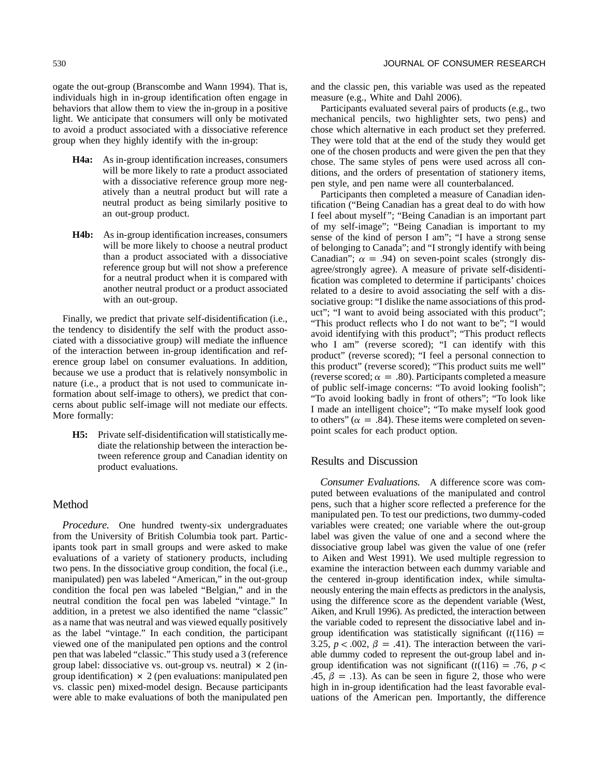ogate the out-group (Branscombe and Wann 1994). That is, individuals high in in-group identification often engage in behaviors that allow them to view the in-group in a positive light. We anticipate that consumers will only be motivated to avoid a product associated with a dissociative reference group when they highly identify with the in-group:

- **H4a:** As in-group identification increases, consumers will be more likely to rate a product associated with a dissociative reference group more negatively than a neutral product but will rate a neutral product as being similarly positive to an out-group product.
- **H4b:** As in-group identification increases, consumers will be more likely to choose a neutral product than a product associated with a dissociative reference group but will not show a preference for a neutral product when it is compared with another neutral product or a product associated with an out-group.

Finally, we predict that private self-disidentification (i.e., the tendency to disidentify the self with the product associated with a dissociative group) will mediate the influence of the interaction between in-group identification and reference group label on consumer evaluations. In addition, because we use a product that is relatively nonsymbolic in nature (i.e., a product that is not used to communicate information about self-image to others), we predict that concerns about public self-image will not mediate our effects. More formally:

**H5:** Private self-disidentification will statistically mediate the relationship between the interaction between reference group and Canadian identity on product evaluations.

# Method

*Procedure.* One hundred twenty-six undergraduates from the University of British Columbia took part. Participants took part in small groups and were asked to make evaluations of a variety of stationery products, including two pens. In the dissociative group condition, the focal (i.e., manipulated) pen was labeled "American," in the out-group condition the focal pen was labeled "Belgian," and in the neutral condition the focal pen was labeled "vintage." In addition, in a pretest we also identified the name "classic" as a name that was neutral and was viewed equally positively as the label "vintage." In each condition, the participant viewed one of the manipulated pen options and the control pen that was labeled "classic." This study used a 3 (reference group label: dissociative vs. out-group vs. neutral)  $\times$  2 (ingroup identification)  $\times$  2 (pen evaluations: manipulated pen vs. classic pen) mixed-model design. Because participants were able to make evaluations of both the manipulated pen and the classic pen, this variable was used as the repeated measure (e.g., White and Dahl 2006).

Participants evaluated several pairs of products (e.g., two mechanical pencils, two highlighter sets, two pens) and chose which alternative in each product set they preferred. They were told that at the end of the study they would get one of the chosen products and were given the pen that they chose. The same styles of pens were used across all conditions, and the orders of presentation of stationery items, pen style, and pen name were all counterbalanced.

Participants then completed a measure of Canadian identification ("Being Canadian has a great deal to do with how I feel about myself"; "Being Canadian is an important part of my self-image"; "Being Canadian is important to my sense of the kind of person I am"; "I have a strong sense of belonging to Canada"; and "I strongly identify with being Canadian";  $\alpha = .94$ ) on seven-point scales (strongly disagree/strongly agree). A measure of private self-disidentification was completed to determine if participants' choices related to a desire to avoid associating the self with a dissociative group: "I dislike the name associations of this product"; "I want to avoid being associated with this product"; "This product reflects who I do not want to be"; "I would avoid identifying with this product"; "This product reflects who I am" (reverse scored); "I can identify with this product" (reverse scored); "I feel a personal connection to this product" (reverse scored); "This product suits me well" (reverse scored;  $\alpha = .80$ ). Participants completed a measure of public self-image concerns: "To avoid looking foolish"; "To avoid looking badly in front of others"; "To look like I made an intelligent choice"; "To make myself look good to others" ( $\alpha = .84$ ). These items were completed on sevenpoint scales for each product option.

# Results and Discussion

*Consumer Evaluations.* A difference score was computed between evaluations of the manipulated and control pens, such that a higher score reflected a preference for the manipulated pen. To test our predictions, two dummy-coded variables were created; one variable where the out-group label was given the value of one and a second where the dissociative group label was given the value of one (refer to Aiken and West 1991). We used multiple regression to examine the interaction between each dummy variable and the centered in-group identification index, while simultaneously entering the main effects as predictors in the analysis, using the difference score as the dependent variable (West, Aiken, and Krull 1996). As predicted, the interaction between the variable coded to represent the dissociative label and ingroup identification was statistically significant  $(t(116)$  = 3.25,  $p < .002$ ,  $\beta = .41$ ). The interaction between the variable dummy coded to represent the out-group label and ingroup identification was not significant  $(t(116) = .76, p <$ .45,  $\beta = .13$ ). As can be seen in figure 2, those who were high in in-group identification had the least favorable evaluations of the American pen. Importantly, the difference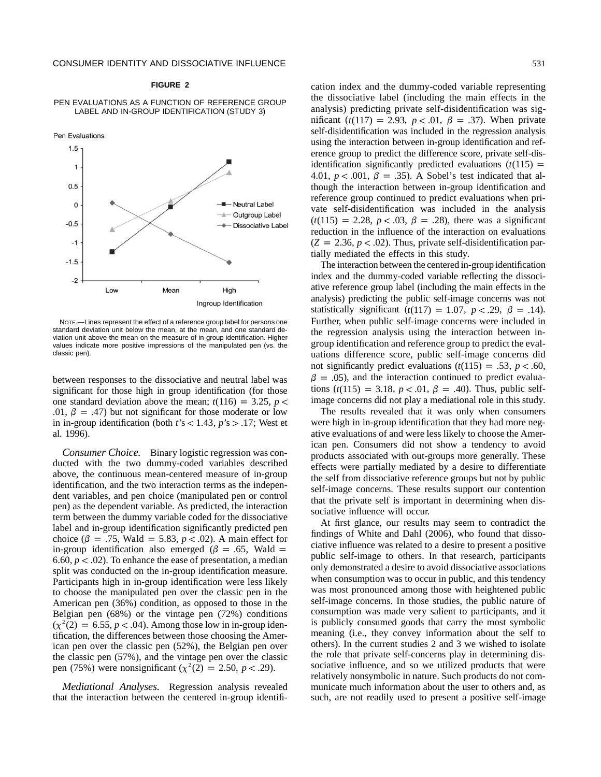#### **FIGURE 2**

#### PEN EVALUATIONS AS A FUNCTION OF REFERENCE GROUP LABEL AND IN-GROUP IDENTIFICATION (STUDY 3)



NOTE.—Lines represent the effect of a reference group label for persons one standard deviation unit below the mean, at the mean, and one standard deviation unit above the mean on the measure of in-group identification. Higher values indicate more positive impressions of the manipulated pen (vs. the classic pen).

between responses to the dissociative and neutral label was significant for those high in group identification (for those one standard deviation above the mean;  $t(116) = 3.25$ ,  $p <$ .01,  $\beta = .47$ ) but not significant for those moderate or low in in-group identification (both  $t's < 1.43$ ,  $p's > 0.17$ ; West et al. 1996).

*Consumer Choice.* Binary logistic regression was conducted with the two dummy-coded variables described above, the continuous mean-centered measure of in-group identification, and the two interaction terms as the independent variables, and pen choice (manipulated pen or control pen) as the dependent variable. As predicted, the interaction term between the dummy variable coded for the dissociative label and in-group identification significantly predicted pen choice ( $\beta$  = .75, Wald = 5.83,  $p < .02$ ). A main effect for in-group identification also emerged ( $\beta$  = .65, Wald = 6.60,  $p < .02$ ). To enhance the ease of presentation, a median split was conducted on the in-group identification measure. Participants high in in-group identification were less likely to choose the manipulated pen over the classic pen in the American pen (36%) condition, as opposed to those in the Belgian pen (68%) or the vintage pen (72%) conditions  $(\chi^2(2) = 6.55, p < .04)$ . Among those low in in-group identification, the differences between those choosing the American pen over the classic pen (52%), the Belgian pen over the classic pen (57%), and the vintage pen over the classic pen (75%) were nonsignificant ( $\chi^2(2) = 2.50, p < .29$ ).

*Mediational Analyses.* Regression analysis revealed that the interaction between the centered in-group identification index and the dummy-coded variable representing the dissociative label (including the main effects in the analysis) predicting private self-disidentification was significant  $(t(117) = 2.93, p < .01, \beta = .37)$ . When private self-disidentification was included in the regression analysis using the interaction between in-group identification and reference group to predict the difference score, private self-disidentification significantly predicted evaluations  $(t(115)$  = 4.01,  $p < .001$ ,  $\beta = .35$ ). A Sobel's test indicated that although the interaction between in-group identification and reference group continued to predict evaluations when private self-disidentification was included in the analysis  $(t(115) = 2.28, p < .03, \beta = .28)$ , there was a significant reduction in the influence of the interaction on evaluations  $(Z = 2.36, p < .02)$ . Thus, private self-disidentification partially mediated the effects in this study.

The interaction between the centered in-group identification index and the dummy-coded variable reflecting the dissociative reference group label (including the main effects in the analysis) predicting the public self-image concerns was not statistically significant  $(t(117) = 1.07, p < .29, \beta = .14)$ . Further, when public self-image concerns were included in the regression analysis using the interaction between ingroup identification and reference group to predict the evaluations difference score, public self-image concerns did not significantly predict evaluations  $(t(115) = .53, p < .60,$  $\beta = .05$ ), and the interaction continued to predict evaluations  $(t(115) = 3.18, p < .01, \beta = .40)$ . Thus, public selfimage concerns did not play a mediational role in this study.

The results revealed that it was only when consumers were high in in-group identification that they had more negative evaluations of and were less likely to choose the American pen. Consumers did not show a tendency to avoid products associated with out-groups more generally. These effects were partially mediated by a desire to differentiate the self from dissociative reference groups but not by public self-image concerns. These results support our contention that the private self is important in determining when dissociative influence will occur.

At first glance, our results may seem to contradict the findings of White and Dahl (2006), who found that dissociative influence was related to a desire to present a positive public self-image to others. In that research, participants only demonstrated a desire to avoid dissociative associations when consumption was to occur in public, and this tendency was most pronounced among those with heightened public self-image concerns. In those studies, the public nature of consumption was made very salient to participants, and it is publicly consumed goods that carry the most symbolic meaning (i.e., they convey information about the self to others). In the current studies 2 and 3 we wished to isolate the role that private self-concerns play in determining dissociative influence, and so we utilized products that were relatively nonsymbolic in nature. Such products do not communicate much information about the user to others and, as such, are not readily used to present a positive self-image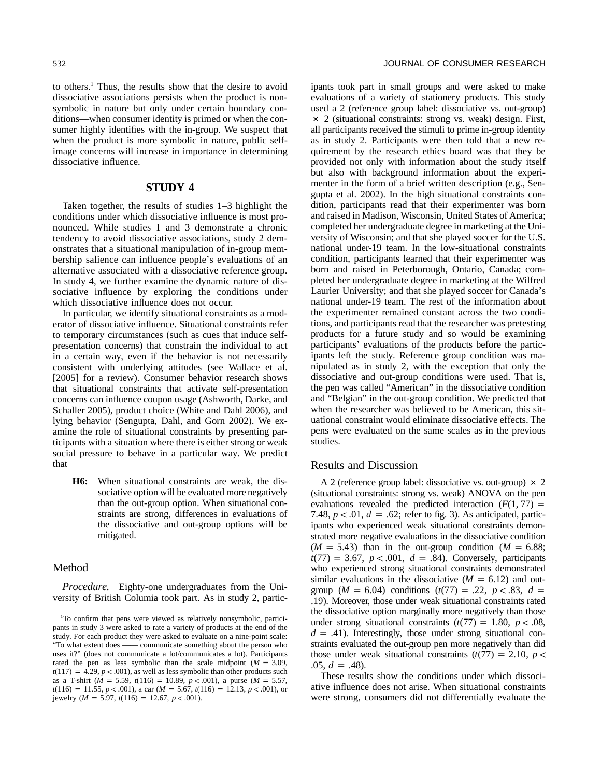to others.<sup>1</sup> Thus, the results show that the desire to avoid dissociative associations persists when the product is nonsymbolic in nature but only under certain boundary conditions—when consumer identity is primed or when the consumer highly identifies with the in-group. We suspect that when the product is more symbolic in nature, public selfimage concerns will increase in importance in determining dissociative influence.

### **STUDY 4**

Taken together, the results of studies 1–3 highlight the conditions under which dissociative influence is most pronounced. While studies 1 and 3 demonstrate a chronic tendency to avoid dissociative associations, study 2 demonstrates that a situational manipulation of in-group membership salience can influence people's evaluations of an alternative associated with a dissociative reference group. In study 4, we further examine the dynamic nature of dissociative influence by exploring the conditions under which dissociative influence does not occur.

In particular, we identify situational constraints as a moderator of dissociative influence. Situational constraints refer to temporary circumstances (such as cues that induce selfpresentation concerns) that constrain the individual to act in a certain way, even if the behavior is not necessarily consistent with underlying attitudes (see Wallace et al. [2005] for a review). Consumer behavior research shows that situational constraints that activate self-presentation concerns can influence coupon usage (Ashworth, Darke, and Schaller 2005), product choice (White and Dahl 2006), and lying behavior (Sengupta, Dahl, and Gorn 2002). We examine the role of situational constraints by presenting participants with a situation where there is either strong or weak social pressure to behave in a particular way. We predict that

**H6:** When situational constraints are weak, the dissociative option will be evaluated more negatively than the out-group option. When situational constraints are strong, differences in evaluations of the dissociative and out-group options will be mitigated.

# Method

*Procedure.* Eighty-one undergraduates from the University of British Columia took part. As in study 2, participants took part in small groups and were asked to make evaluations of a variety of stationery products. This study used a 2 (reference group label: dissociative vs. out-group)  $\times$  2 (situational constraints: strong vs. weak) design. First, all participants received the stimuli to prime in-group identity as in study 2. Participants were then told that a new requirement by the research ethics board was that they be provided not only with information about the study itself but also with background information about the experimenter in the form of a brief written description (e.g., Sengupta et al. 2002). In the high situational constraints condition, participants read that their experimenter was born and raised in Madison, Wisconsin, United States of America; completed her undergraduate degree in marketing at the University of Wisconsin; and that she played soccer for the U.S. national under-19 team. In the low-situational constraints condition, participants learned that their experimenter was born and raised in Peterborough, Ontario, Canada; completed her undergraduate degree in marketing at the Wilfred Laurier University; and that she played soccer for Canada's national under-19 team. The rest of the information about the experimenter remained constant across the two conditions, and participants read that the researcher was pretesting products for a future study and so would be examining participants' evaluations of the products before the participants left the study. Reference group condition was manipulated as in study 2, with the exception that only the dissociative and out-group conditions were used. That is, the pen was called "American" in the dissociative condition and "Belgian" in the out-group condition. We predicted that when the researcher was believed to be American, this situational constraint would eliminate dissociative effects. The pens were evaluated on the same scales as in the previous studies.

## Results and Discussion

A 2 (reference group label: dissociative vs. out-group)  $\times$  2 (situational constraints: strong vs. weak) ANOVA on the pen evaluations revealed the predicted interaction  $(F(1, 77)) =$ 7.48,  $p < .01$ ,  $d = .62$ ; refer to fig. 3). As anticipated, participants who experienced weak situational constraints demonstrated more negative evaluations in the dissociative condition  $(M = 5.43)$  than in the out-group condition  $(M = 6.88;$  $t(77) = 3.67, p < .001, d = .84$ . Conversely, participants who experienced strong situational constraints demonstrated similar evaluations in the dissociative  $(M = 6.12)$  and outgroup  $(M = 6.04)$  conditions  $(t(77) = .22, p < .83, d =$ .19). Moreover, those under weak situational constraints rated the dissociative option marginally more negatively than those under strong situational constraints  $(t(77) = 1.80, p < .08,$  $d = .41$ ). Interestingly, those under strong situational constraints evaluated the out-group pen more negatively than did those under weak situational constraints  $(t(77) = 2.10, p <$  $.05, d = .48$ .

These results show the conditions under which dissociative influence does not arise. When situational constraints were strong, consumers did not differentially evaluate the

<sup>1</sup> To confirm that pens were viewed as relatively nonsymbolic, participants in study 3 were asked to rate a variety of products at the end of the study. For each product they were asked to evaluate on a nine-point scale: "To what extent does —— communicate something about the person who uses it?" (does not communicate a lot/communicates a lot). Participants rated the pen as less symbolic than the scale midpoint  $(M = 3.09,$  $t(117) = 4.29, p < .001$ , as well as less symbolic than other products such as a T-shirt ( $M = 5.59$ ,  $t(116) = 10.89$ ,  $p < .001$ ), a purse ( $M = 5.57$ ,  $t(116) = 11.55, p < .001$ , a car  $(M = 5.67, t(116) = 12.13, p < .001$ , or jewelry ( $M = 5.97$ ,  $t(116) = 12.67$ ,  $p < .001$ ).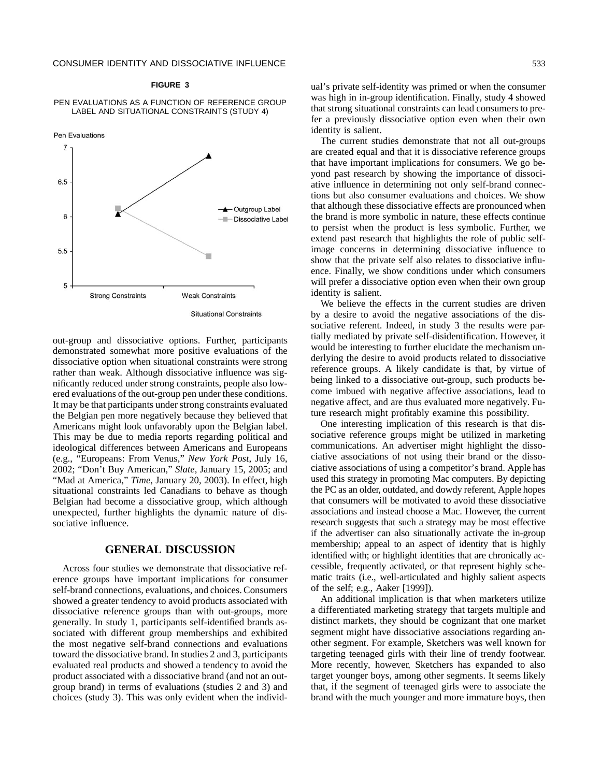#### **FIGURE 3**

#### PEN EVALUATIONS AS A FUNCTION OF REFERENCE GROUP LABEL AND SITUATIONAL CONSTRAINTS (STUDY 4)



out-group and dissociative options. Further, participants demonstrated somewhat more positive evaluations of the dissociative option when situational constraints were strong rather than weak. Although dissociative influence was significantly reduced under strong constraints, people also lowered evaluations of the out-group pen under these conditions. It may be that participants under strong constraints evaluated the Belgian pen more negatively because they believed that Americans might look unfavorably upon the Belgian label. This may be due to media reports regarding political and ideological differences between Americans and Europeans (e.g., "Europeans: From Venus," *New York Post*, July 16, 2002; "Don't Buy American," *Slate*, January 15, 2005; and "Mad at America," Time, January 20, 2003). In effect, high situational constraints led Canadians to behave as though Belgian had become a dissociative group, which although unexpected, further highlights the dynamic nature of dissociative influence.

# **GENERAL DISCUSSION**

Across four studies we demonstrate that dissociative reference groups have important implications for consumer self-brand connections, evaluations, and choices. Consumers showed a greater tendency to avoid products associated with dissociative reference groups than with out-groups, more generally. In study 1, participants self-identified brands associated with different group memberships and exhibited the most negative self-brand connections and evaluations toward the dissociative brand. In studies 2 and 3, participants evaluated real products and showed a tendency to avoid the product associated with a dissociative brand (and not an outgroup brand) in terms of evaluations (studies 2 and 3) and choices (study 3). This was only evident when the individual's private self-identity was primed or when the consumer was high in in-group identification. Finally, study 4 showed that strong situational constraints can lead consumers to prefer a previously dissociative option even when their own identity is salient.

The current studies demonstrate that not all out-groups are created equal and that it is dissociative reference groups that have important implications for consumers. We go beyond past research by showing the importance of dissociative influence in determining not only self-brand connections but also consumer evaluations and choices. We show that although these dissociative effects are pronounced when the brand is more symbolic in nature, these effects continue to persist when the product is less symbolic. Further, we extend past research that highlights the role of public selfimage concerns in determining dissociative influence to show that the private self also relates to dissociative influence. Finally, we show conditions under which consumers will prefer a dissociative option even when their own group identity is salient.

We believe the effects in the current studies are driven by a desire to avoid the negative associations of the dissociative referent. Indeed, in study 3 the results were partially mediated by private self-disidentification. However, it would be interesting to further elucidate the mechanism underlying the desire to avoid products related to dissociative reference groups. A likely candidate is that, by virtue of being linked to a dissociative out-group, such products become imbued with negative affective associations, lead to negative affect, and are thus evaluated more negatively. Future research might profitably examine this possibility.

One interesting implication of this research is that dissociative reference groups might be utilized in marketing communications. An advertiser might highlight the dissociative associations of not using their brand or the dissociative associations of using a competitor's brand. Apple has used this strategy in promoting Mac computers. By depicting the PC as an older, outdated, and dowdy referent, Apple hopes that consumers will be motivated to avoid these dissociative associations and instead choose a Mac. However, the current research suggests that such a strategy may be most effective if the advertiser can also situationally activate the in-group membership; appeal to an aspect of identity that is highly identified with; or highlight identities that are chronically accessible, frequently activated, or that represent highly schematic traits (i.e., well-articulated and highly salient aspects of the self; e.g., Aaker [1999]).

An additional implication is that when marketers utilize a differentiated marketing strategy that targets multiple and distinct markets, they should be cognizant that one market segment might have dissociative associations regarding another segment. For example, Sketchers was well known for targeting teenaged girls with their line of trendy footwear. More recently, however, Sketchers has expanded to also target younger boys, among other segments. It seems likely that, if the segment of teenaged girls were to associate the brand with the much younger and more immature boys, then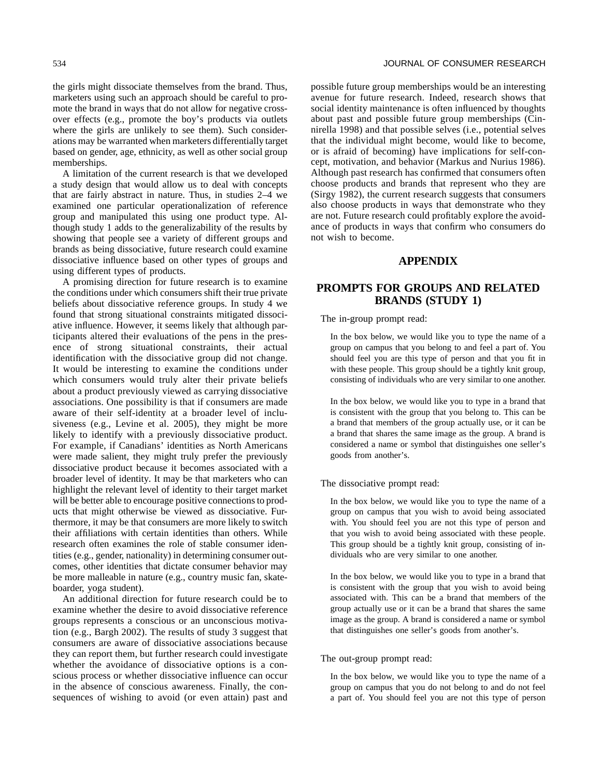the girls might dissociate themselves from the brand. Thus, marketers using such an approach should be careful to promote the brand in ways that do not allow for negative crossover effects (e.g., promote the boy's products via outlets where the girls are unlikely to see them). Such considerations may be warranted when marketers differentially target based on gender, age, ethnicity, as well as other social group memberships.

A limitation of the current research is that we developed a study design that would allow us to deal with concepts that are fairly abstract in nature. Thus, in studies 2–4 we examined one particular operationalization of reference group and manipulated this using one product type. Although study 1 adds to the generalizability of the results by showing that people see a variety of different groups and brands as being dissociative, future research could examine dissociative influence based on other types of groups and using different types of products.

A promising direction for future research is to examine the conditions under which consumers shift their true private beliefs about dissociative reference groups. In study 4 we found that strong situational constraints mitigated dissociative influence. However, it seems likely that although participants altered their evaluations of the pens in the presence of strong situational constraints, their actual identification with the dissociative group did not change. It would be interesting to examine the conditions under which consumers would truly alter their private beliefs about a product previously viewed as carrying dissociative associations. One possibility is that if consumers are made aware of their self-identity at a broader level of inclusiveness (e.g., Levine et al. 2005), they might be more likely to identify with a previously dissociative product. For example, if Canadians' identities as North Americans were made salient, they might truly prefer the previously dissociative product because it becomes associated with a broader level of identity. It may be that marketers who can highlight the relevant level of identity to their target market will be better able to encourage positive connections to products that might otherwise be viewed as dissociative. Furthermore, it may be that consumers are more likely to switch their affiliations with certain identities than others. While research often examines the role of stable consumer identities (e.g., gender, nationality) in determining consumer outcomes, other identities that dictate consumer behavior may be more malleable in nature (e.g., country music fan, skateboarder, yoga student).

An additional direction for future research could be to examine whether the desire to avoid dissociative reference groups represents a conscious or an unconscious motivation (e.g., Bargh 2002). The results of study 3 suggest that consumers are aware of dissociative associations because they can report them, but further research could investigate whether the avoidance of dissociative options is a conscious process or whether dissociative influence can occur in the absence of conscious awareness. Finally, the consequences of wishing to avoid (or even attain) past and possible future group memberships would be an interesting avenue for future research. Indeed, research shows that social identity maintenance is often influenced by thoughts about past and possible future group memberships (Cinnirella 1998) and that possible selves (i.e., potential selves that the individual might become, would like to become, or is afraid of becoming) have implications for self-concept, motivation, and behavior (Markus and Nurius 1986). Although past research has confirmed that consumers often choose products and brands that represent who they are (Sirgy 1982), the current research suggests that consumers also choose products in ways that demonstrate who they are not. Future research could profitably explore the avoidance of products in ways that confirm who consumers do not wish to become.

# **APPENDIX**

# **PROMPTS FOR GROUPS AND RELATED BRANDS (STUDY 1)**

The in-group prompt read:

In the box below, we would like you to type the name of a group on campus that you belong to and feel a part of. You should feel you are this type of person and that you fit in with these people. This group should be a tightly knit group, consisting of individuals who are very similar to one another.

In the box below, we would like you to type in a brand that is consistent with the group that you belong to. This can be a brand that members of the group actually use, or it can be a brand that shares the same image as the group. A brand is considered a name or symbol that distinguishes one seller's goods from another's.

#### The dissociative prompt read:

In the box below, we would like you to type the name of a group on campus that you wish to avoid being associated with. You should feel you are not this type of person and that you wish to avoid being associated with these people. This group should be a tightly knit group, consisting of individuals who are very similar to one another.

In the box below, we would like you to type in a brand that is consistent with the group that you wish to avoid being associated with. This can be a brand that members of the group actually use or it can be a brand that shares the same image as the group. A brand is considered a name or symbol that distinguishes one seller's goods from another's.

#### The out-group prompt read:

In the box below, we would like you to type the name of a group on campus that you do not belong to and do not feel a part of. You should feel you are not this type of person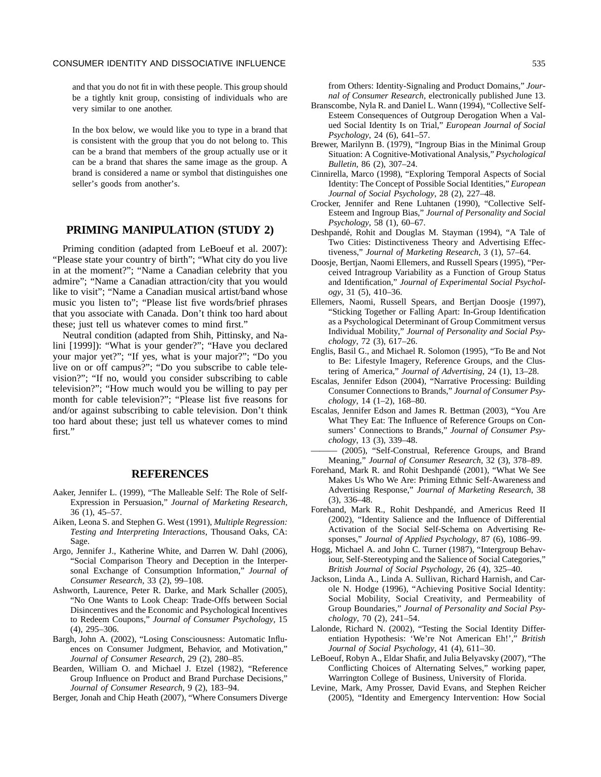and that you do not fit in with these people. This group should be a tightly knit group, consisting of individuals who are very similar to one another.

In the box below, we would like you to type in a brand that is consistent with the group that you do not belong to. This can be a brand that members of the group actually use or it can be a brand that shares the same image as the group. A brand is considered a name or symbol that distinguishes one seller's goods from another's.

## **PRIMING MANIPULATION (STUDY 2)**

Priming condition (adapted from LeBoeuf et al. 2007): "Please state your country of birth"; "What city do you live in at the moment?"; "Name a Canadian celebrity that you admire"; "Name a Canadian attraction/city that you would like to visit"; "Name a Canadian musical artist/band whose music you listen to"; "Please list five words/brief phrases that you associate with Canada. Don't think too hard about these; just tell us whatever comes to mind first."

Neutral condition (adapted from Shih, Pittinsky, and Nalini [1999]): "What is your gender?"; "Have you declared your major yet?"; "If yes, what is your major?"; "Do you live on or off campus?"; "Do you subscribe to cable television?"; "If no, would you consider subscribing to cable television?"; "How much would you be willing to pay per month for cable television?"; "Please list five reasons for and/or against subscribing to cable television. Don't think too hard about these; just tell us whatever comes to mind first."

## **REFERENCES**

- Aaker, Jennifer L. (1999), "The Malleable Self: The Role of Self-Expression in Persuasion," *Journal of Marketing Research*, 36 (1), 45–57.
- Aiken, Leona S. and Stephen G. West (1991), *Multiple Regression: Testing and Interpreting Interactions*, Thousand Oaks, CA: Sage.
- Argo, Jennifer J., Katherine White, and Darren W. Dahl (2006), "Social Comparison Theory and Deception in the Interpersonal Exchange of Consumption Information," *Journal of Consumer Research*, 33 (2), 99–108.
- Ashworth, Laurence, Peter R. Darke, and Mark Schaller (2005), "No One Wants to Look Cheap: Trade-Offs between Social Disincentives and the Economic and Psychological Incentives to Redeem Coupons," *Journal of Consumer Psychology*, 15 (4), 295–306.
- Bargh, John A. (2002), "Losing Consciousness: Automatic Influences on Consumer Judgment, Behavior, and Motivation," *Journal of Consumer Research*, 29 (2), 280–85.
- Bearden, William O. and Michael J. Etzel (1982), "Reference Group Influence on Product and Brand Purchase Decisions," *Journal of Consumer Research*, 9 (2), 183–94.

Berger, Jonah and Chip Heath (2007), "Where Consumers Diverge

from Others: Identity-Signaling and Product Domains," *Journal of Consumer Research*, electronically published June 13.

- Branscombe, Nyla R. and Daniel L. Wann (1994), "Collective Self-Esteem Consequences of Outgroup Derogation When a Valued Social Identity Is on Trial," *European Journal of Social Psychology*, 24 (6), 641–57.
- Brewer, Marilynn B. (1979), "Ingroup Bias in the Minimal Group Situation: A Cognitive-Motivational Analysis," *Psychological Bulletin*, 86 (2), 307–24.
- Cinnirella, Marco (1998), "Exploring Temporal Aspects of Social Identity: The Concept of Possible Social Identities," *European Journal of Social Psychology*, 28 (2), 227–48.
- Crocker, Jennifer and Rene Luhtanen (1990), "Collective Self-Esteem and Ingroup Bias," *Journal of Personality and Social Psychology*, 58 (1), 60–67.
- Deshpandé, Rohit and Douglas M. Stayman (1994), "A Tale of Two Cities: Distinctiveness Theory and Advertising Effectiveness," *Journal of Marketing Research*, 3 (1), 57–64.
- Doosje, Bertjan, Naomi Ellemers, and Russell Spears (1995), "Perceived Intragroup Variability as a Function of Group Status and Identification," *Journal of Experimental Social Psychology*, 31 (5), 410–36.
- Ellemers, Naomi, Russell Spears, and Bertjan Doosje (1997), "Sticking Together or Falling Apart: In-Group Identification as a Psychological Determinant of Group Commitment versus Individual Mobility," *Journal of Personality and Social Psychology*, 72 (3), 617–26.
- Englis, Basil G., and Michael R. Solomon (1995), "To Be and Not to Be: Lifestyle Imagery, Reference Groups, and the Clustering of America," *Journal of Advertising*, 24 (1), 13–28.
- Escalas, Jennifer Edson (2004), "Narrative Processing: Building Consumer Connections to Brands," *Journal of Consumer Psychology*, 14 (1–2), 168–80.
- Escalas, Jennifer Edson and James R. Bettman (2003), "You Are What They Eat: The Influence of Reference Groups on Consumers' Connections to Brands," *Journal of Consumer Psychology*, 13 (3), 339–48.
- (2005), "Self-Construal, Reference Groups, and Brand Meaning," *Journal of Consumer Research*, 32 (3), 378–89.
- Forehand, Mark R. and Rohit Deshpandé (2001), "What We See Makes Us Who We Are: Priming Ethnic Self-Awareness and Advertising Response," *Journal of Marketing Research*, 38 (3), 336–48.
- Forehand, Mark R., Rohit Deshpandé, and Americus Reed II (2002), "Identity Salience and the Influence of Differential Activation of the Social Self-Schema on Advertising Responses," *Journal of Applied Psychology*, 87 (6), 1086–99.
- Hogg, Michael A. and John C. Turner (1987), "Intergroup Behaviour, Self-Stereotyping and the Salience of Social Categories," *British Journal of Social Psychology*, 26 (4), 325–40.
- Jackson, Linda A., Linda A. Sullivan, Richard Harnish, and Carole N. Hodge (1996), "Achieving Positive Social Identity: Social Mobility, Social Creativity, and Permeability of Group Boundaries," *Journal of Personality and Social Psychology*, 70 (2), 241–54.
- Lalonde, Richard N. (2002), "Testing the Social Identity Differentiation Hypothesis: 'We're Not American Eh!'," *British Journal of Social Psychology*, 41 (4), 611–30.
- LeBoeuf, Robyn A., Eldar Shafir, and Julia Belyavsky (2007), "The Conflicting Choices of Alternating Selves," working paper, Warrington College of Business, University of Florida.
- Levine, Mark, Amy Prosser, David Evans, and Stephen Reicher (2005), "Identity and Emergency Intervention: How Social